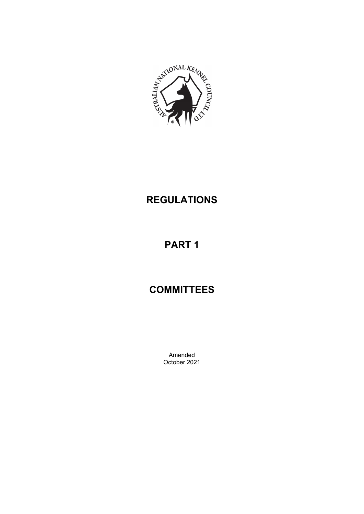

## **REGULATIONS**

# **PART 1**

## **COMMITTEES**

Amended October 2021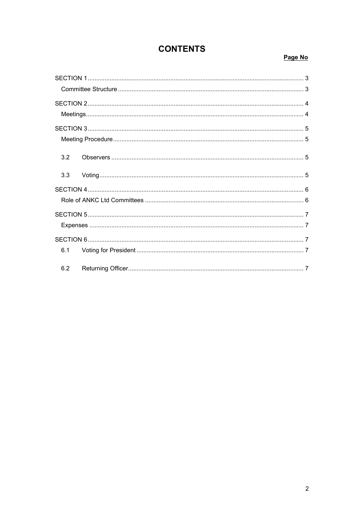### **CONTENTS**

### Page No

| 3.2 |
|-----|
| 3.3 |
|     |
|     |
|     |
|     |
|     |
| 6.1 |
| 6.2 |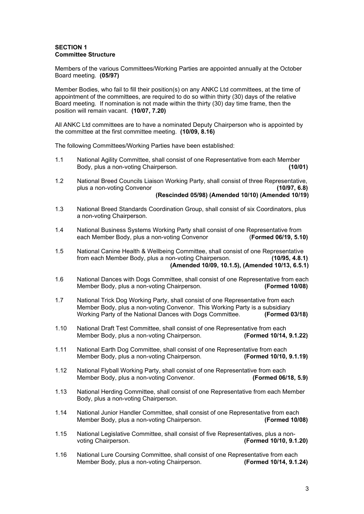#### <span id="page-2-1"></span><span id="page-2-0"></span>**SECTION 1 Committee Structure**

Members of the various Committees/Working Parties are appointed annually at the October Board meeting. **(05/97)**

Member Bodies, who fail to fill their position(s) on any ANKC Ltd committees, at the time of appointment of the committees, are required to do so within thirty (30) days of the relative Board meeting. If nomination is not made within the thirty (30) day time frame, then the position will remain vacant. **(10/07, 7.20)**

All ANKC Ltd committees are to have a nominated Deputy Chairperson who is appointed by the committee at the first committee meeting. **(10/09, 8.16)**

The following Committees/Working Parties have been established:

- 1.1 National Agility Committee, shall consist of one Representative from each Member<br>Body, plus a non-voting Chairperson. Body, plus a non-voting Chairperson.
- 1.2 National Breed Councils Liaison Working Party, shall consist of three Representative, plus a non-voting Convenor **(10/97, 6.8) (Rescinded 05/98) (Amended 10/10) (Amended 10/19)**

- 1.3 National Breed Standards Coordination Group, shall consist of six Coordinators, plus a non-voting Chairperson.
- 1.4 National Business Systems Working Party shall consist of one Representative from<br>each Member Body, plus a non-voting Convenor (Formed 06/19, 5.10) each Member Body, plus a non-voting Convenor
- 1.5 National Canine Health & Wellbeing Committee, shall consist of one Representative<br>from each Member Body, plus a non-voting Chairperson. (10/95. 4.8.1) from each Member Body, plus a non-voting Chairperson. **(Amended 10/09, 10.1.5), (Amended 10/13, 6.5.1)**
- 1.6 National Dances with Dogs Committee, shall consist of one Representative from each<br>Member Body, plus a non-voting Chairperson. (Formed 10/08) Member Body, plus a non-voting Chairperson.
- 1.7 National Trick Dog Working Party, shall consist of one Representative from each Member Body, plus a non-voting Convenor. This Working Party is a subsidiary Working Party of the National Dances with Dogs Committee. **(Formed 03/18)**
- 1.10 National Draft Test Committee, shall consist of one Representative from each Member Body, plus a non-voting Chairperson. **(Formed 10/14, 9.1.22)**
- 1.11 National Earth Dog Committee, shall consist of one Representative from each<br>Member Body, plus a non-voting Chairperson. (Formed 10/10, 9.1.19) Member Body, plus a non-voting Chairperson.
- 1.12 National Flyball Working Party, shall consist of one Representative from each<br>Member Body, plus a non-voting Convenor. (Formed 06/18, 5.9) Member Body, plus a non-voting Convenor.
- 1.13 National Herding Committee, shall consist of one Representative from each Member Body, plus a non-voting Chairperson.
- 1.14 National Junior Handler Committee, shall consist of one Representative from each Member Body, plus a non-voting Chairperson. **(Formed 10/08)**
- 1.15 National Legislative Committee, shall consist of five Representatives, plus a nonvoting Chairperson. **(Formed 10/10, 9.1.20)**
- 1.16 National Lure Coursing Committee, shall consist of one Representative from each Member Body, plus a non-voting Chairperson. **(Formed 10/14, 9.1.24)**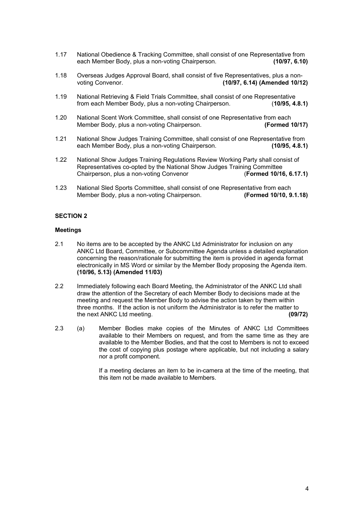- 1.17 National Obedience & Tracking Committee, shall consist of one Representative from each Member Body, plus a non-voting Chairperson. **(10/97, 6.10)**
- 1.18 Overseas Judges Approval Board, shall consist of five Representatives, plus a nonvoting Convenor. **(10/97, 6.14) (Amended 10/12)**
- 1.19 National Retrieving & Field Trials Committee, shall consist of one Representative<br>from each Member Body, plus a non-voting Chairperson. (10/95, 4.8.1) from each Member Body, plus a non-voting Chairperson.
- 1.20 National Scent Work Committee, shall consist of one Representative from each<br>Member Body, plus a non-voting Chairperson. (Formed 10/17) Member Body, plus a non-voting Chairperson.
- 1.21 National Show Judges Training Committee, shall consist of one Representative from<br>each Member Body, plus a non-voting Chairperson. (10/95.4.8.1) each Member Body, plus a non-voting Chairperson.
- 1.22 National Show Judges Training Regulations Review Working Party shall consist of Representatives co-opted by the National Show Judges Training Committee Chairperson, plus a non-voting Convenor (**Formed 10/16, 6.17.1)**
- 1.23 National Sled Sports Committee, shall consist of one Representative from each Member Body, plus a non-voting Chairperson. **(Formed 10/10, 9.1.18)**

#### <span id="page-3-0"></span>**SECTION 2**

#### <span id="page-3-1"></span>**Meetings**

- 2.1 No items are to be accepted by the ANKC Ltd Administrator for inclusion on any ANKC Ltd Board, Committee, or Subcommittee Agenda unless a detailed explanation concerning the reason/rationale for submitting the item is provided in agenda format electronically in MS Word or similar by the Member Body proposing the Agenda item. **(10/96, 5.13) (Amended 11/03)**
- 2.2 Immediately following each Board Meeting, the Administrator of the ANKC Ltd shall draw the attention of the Secretary of each Member Body to decisions made at the meeting and request the Member Body to advise the action taken by them within three months. If the action is not uniform the Administrator is to refer the matter to the next ANKC Ltd meeting. **(09/72)**
- 2.3 (a) Member Bodies make copies of the Minutes of ANKC Ltd Committees available to their Members on request, and from the same time as they are available to the Member Bodies, and that the cost to Members is not to exceed the cost of copying plus postage where applicable, but not including a salary nor a profit component.

If a meeting declares an item to be in-camera at the time of the meeting, that this item not be made available to Members.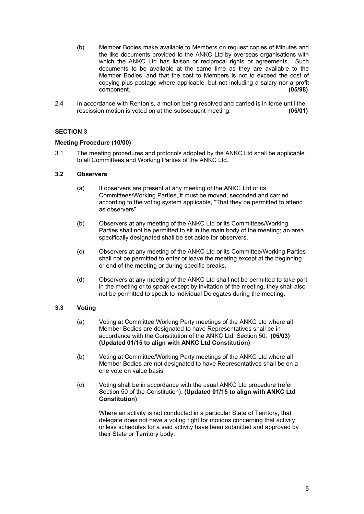- (b) Member Bodies make available to Members on request copies of Minutes and the like documents provided to the ANKC Ltd by overseas organisations with which the ANKC Ltd has liaison or reciprocal rights or agreements. Such documents to be available at the same time as they are available to the Member Bodies, and that the cost to Members is not to exceed the cost of copying plus postage where applicable, but not including a salary nor a profit component. component.
- 2.4 In accordance with Renton's, a motion being resolved and carried is in force until the rescission motion is voted on at the subsequent meeting. **(05/01)**

#### <span id="page-4-0"></span>**SECTION 3**

#### <span id="page-4-1"></span>**Meeting Procedure (10/00)**

3.1 The meeting procedures and protocols adopted by the ANKC Ltd shall be applicable to all Committees and Working Parties of the ANKC Ltd.

#### <span id="page-4-2"></span>**3.2 Observers**

- (a) If observers are present at any meeting of the ANKC Ltd or its Committees/Working Parties, it must be moved, seconded and carried according to the voting system applicable, "That they be permitted to attend as observers".
- (b) Observers at any meeting of the ANKC Ltd or its Committees/Working Parties shall not be permitted to sit in the main body of the meeting; an area specifically designated shall be set aside for observers.
- (c) Observers at any meeting of the ANKC Ltd or its Committee/Working Parties shall not be permitted to enter or leave the meeting except at the beginning or end of the meeting or during specific breaks.
- (d) Observers at any meeting of the ANKC Ltd shall not be permitted to take part in the meeting or to speak except by invitation of the meeting, they shall also not be permitted to speak to individual Delegates during the meeting.

#### <span id="page-4-3"></span>**3.3 Voting**

- (a) Voting at Committee Working Party meetings of the ANKC Ltd where all Member Bodies are designated to have Representatives shall be in accordance with the Constitution of the ANKC Ltd, Section 50. **(05/03) (Updated 01/15 to align with ANKC Ltd Constitution)**
- (b) Voting at Committee/Working Party meetings of the ANKC Ltd where all Member Bodies are not designated to have Representatives shall be on a one vote on value basis.
- (c) Voting shall be in accordance with the usual ANKC Ltd procedure (refer Section 50 of the Constitution). **(Updated 01/15 to align with ANKC Ltd Constitution)**

Where an activity is not conducted in a particular State of Territory, that delegate does not have a voting right for motions concerning that activity unless schedules for a said activity have been submitted and approved by their State or Territory body.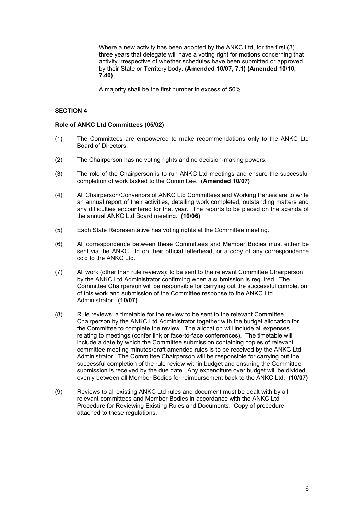Where a new activity has been adopted by the ANKC Ltd, for the first (3) three years that delegate will have a voting right for motions concerning that activity irrespective of whether schedules have been submitted or approved by their State or Territory body. **(Amended 10/07, 7.1) (Amended 10/10, 7.40)**

A majority shall be the first number in excess of 50%.

#### <span id="page-5-0"></span>**SECTION 4**

#### <span id="page-5-1"></span>**Role of ANKC Ltd Committees (05/02)**

- (1) The Committees are empowered to make recommendations only to the ANKC Ltd Board of Directors.
- (2) The Chairperson has no voting rights and no decision-making powers.
- (3) The role of the Chairperson is to run ANKC Ltd meetings and ensure the successful completion of work tasked to the Committee. **(Amended 10/07)**
- (4) All Chairperson/Convenors of ANKC Ltd Committees and Working Parties are to write an annual report of their activities, detailing work completed, outstanding matters and any difficulties encountered for that year. The reports to be placed on the agenda of the annual ANKC Ltd Board meeting. **(10/06)**
- (5) Each State Representative has voting rights at the Committee meeting.
- (6) All correspondence between these Committees and Member Bodies must either be sent via the ANKC Ltd on their official letterhead, or a copy of any correspondence cc'd to the ANKC Ltd.
- (7) All work (other than rule reviews): to be sent to the relevant Committee Chairperson by the ANKC Ltd Administrator confirming when a submission is required. The Committee Chairperson will be responsible for carrying out the successful completion of this work and submission of the Committee response to the ANKC Ltd Administrator. **(10/07)**
- (8) Rule reviews: a timetable for the review to be sent to the relevant Committee Chairperson by the ANKC Ltd Administrator together with the budget allocation for the Committee to complete the review. The allocation will include all expenses relating to meetings (confer link or face-to-face conferences). The timetable will include a date by which the Committee submission containing copies of relevant committee meeting minutes/draft amended rules is to be received by the ANKC Ltd Administrator. The Committee Chairperson will be responsible for carrying out the successful completion of the rule review within budget and ensuring the Committee submission is received by the due date. Any expenditure over budget will be divided evenly between all Member Bodies for reimbursement back to the ANKC Ltd. **(10/07)**
- (9) Reviews to all existing ANKC Ltd rules and document must be dealt with by all relevant committees and Member Bodies in accordance with the ANKC Ltd Procedure for Reviewing Existing Rules and Documents. Copy of procedure attached to these regulations.